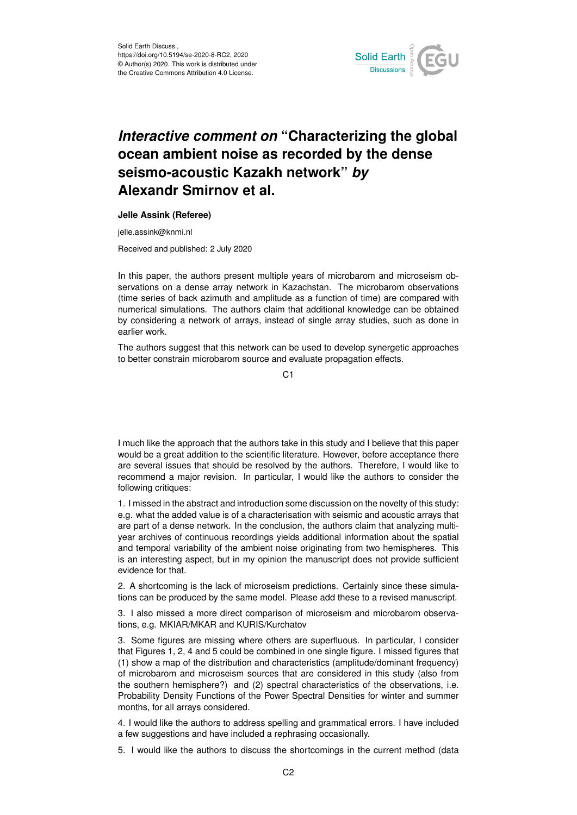

## *Interactive comment on* **"Characterizing the global ocean ambient noise as recorded by the dense seismo-acoustic Kazakh network"** *by* **Alexandr Smirnov et al.**

## **Jelle Assink (Referee)**

jelle.assink@knmi.nl

Received and published: 2 July 2020

In this paper, the authors present multiple years of microbarom and microseism observations on a dense array network in Kazachstan. The microbarom observations (time series of back azimuth and amplitude as a function of time) are compared with numerical simulations. The authors claim that additional knowledge can be obtained by considering a network of arrays, instead of single array studies, such as done in earlier work.

The authors suggest that this network can be used to develop synergetic approaches to better constrain microbarom source and evaluate propagation effects.

C<sub>1</sub>

I much like the approach that the authors take in this study and I believe that this paper would be a great addition to the scientific literature. However, before acceptance there are several issues that should be resolved by the authors. Therefore, I would like to recommend a major revision. In particular, I would like the authors to consider the following critiques:

1. I missed in the abstract and introduction some discussion on the novelty of this study: e.g. what the added value is of a characterisation with seismic and acoustic arrays that are part of a dense network. In the conclusion, the authors claim that analyzing multiyear archives of continuous recordings yields additional information about the spatial and temporal variability of the ambient noise originating from two hemispheres. This is an interesting aspect, but in my opinion the manuscript does not provide sufficient evidence for that.

2. A shortcoming is the lack of microseism predictions. Certainly since these simulations can be produced by the same model. Please add these to a revised manuscript.

3. I also missed a more direct comparison of microseism and microbarom observations, e.g. MKIAR/MKAR and KURIS/Kurchatov

3. Some figures are missing where others are superfluous. In particular, I consider that Figures 1, 2, 4 and 5 could be combined in one single figure. I missed figures that (1) show a map of the distribution and characteristics (amplitude/dominant frequency) of microbarom and microseism sources that are considered in this study (also from the southern hemisphere?) and (2) spectral characteristics of the observations, i.e. Probability Density Functions of the Power Spectral Densities for winter and summer months, for all arrays considered.

4. I would like the authors to address spelling and grammatical errors. I have included a few suggestions and have included a rephrasing occasionally.

5. I would like the authors to discuss the shortcomings in the current method (data